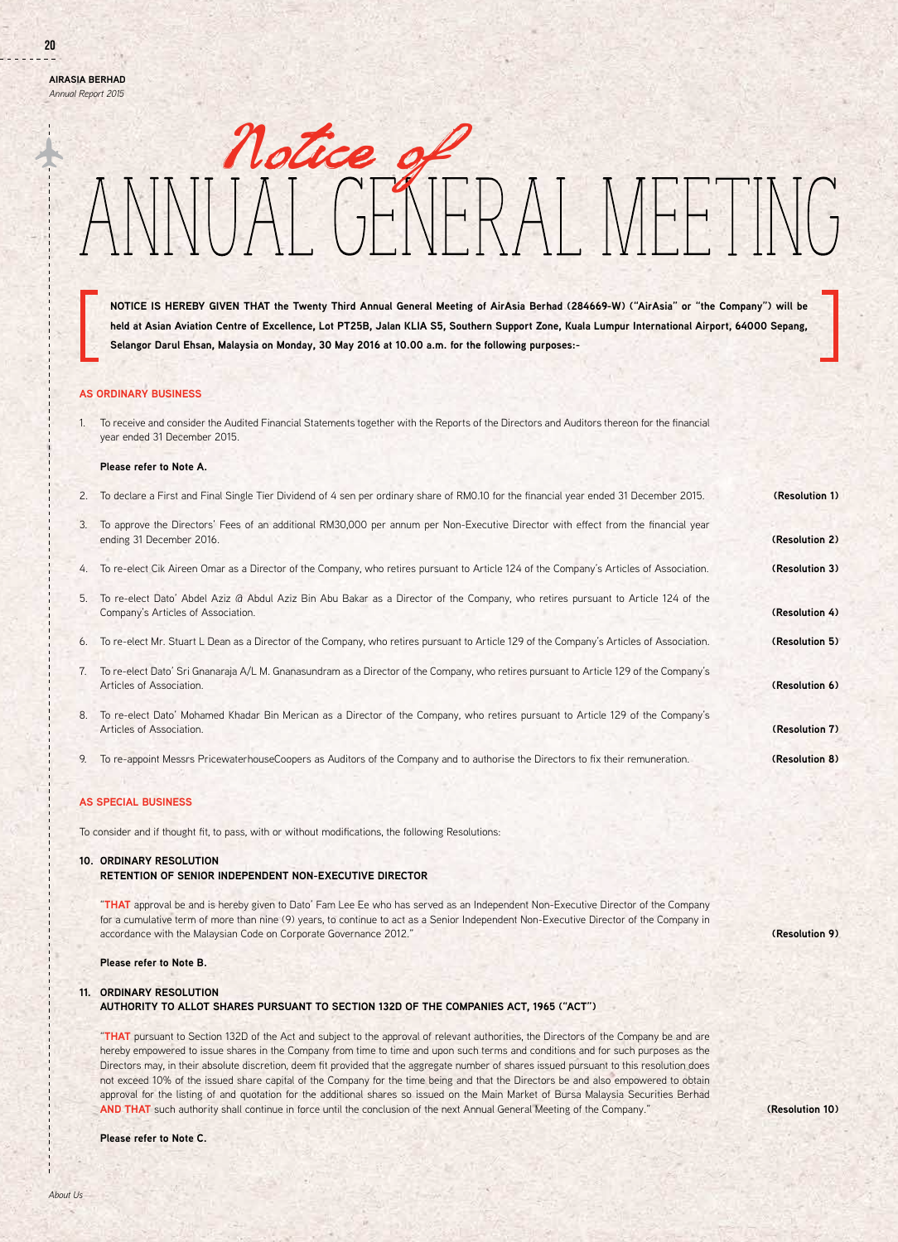**AirAsia Berhad** *Annual Report 2015*

# notice of<br>IAI GENFRAI MFFT  $\prod_{i=1}^{n}$

**NOTICE IS HEREBY GIVEN THAT the Twenty Third Annual General Meeting of AirAsia Berhad (284669-W) ("AirAsia" or "the Company") will be held at Asian Aviation Centre of Excellence, Lot PT25B, Jalan KLIA S5, Southern Support Zone, Kuala Lumpur International Airport, 64000 Sepang, Selangor Darul Ehsan, Malaysia on Monday, 30 May 2016 at 10.00 a.m. for the following purposes:-**

# **AS ORDINARY BUSINESS**

1. To receive and consider the Audited Financial Statements together with the Reports of the Directors and Auditors thereon for the financial year ended 31 December 2015.

### **Please refer to Note A.**

| 2. | To declare a First and Final Single Tier Dividend of 4 sen per ordinary share of RM0.10 for the financial year ended 31 December 2015.                                 | (Resolution 1) |
|----|------------------------------------------------------------------------------------------------------------------------------------------------------------------------|----------------|
| 3. | To approve the Directors' Fees of an additional RM30,000 per annum per Non-Executive Director with effect from the financial year<br>ending 31 December 2016.          | (Resolution 2) |
| 4. | To re-elect Cik Aireen Omar as a Director of the Company, who retires pursuant to Article 124 of the Company's Articles of Association.                                | (Resolution 3) |
| 5. | To re-elect Dato' Abdel Aziz @ Abdul Aziz Bin Abu Bakar as a Director of the Company, who retires pursuant to Article 124 of the<br>Company's Articles of Association. | (Resolution 4) |
| 6. | To re-elect Mr. Stuart L Dean as a Director of the Company, who retires pursuant to Article 129 of the Company's Articles of Association.                              | (Resolution 5) |
| 7. | To re-elect Dato' Sri Gnanaraja A/L M. Gnanasundram as a Director of the Company, who retires pursuant to Article 129 of the Company's<br>Articles of Association.     | (Resolution 6) |
| 8. | To re-elect Dato' Mohamed Khadar Bin Merican as a Director of the Company, who retires pursuant to Article 129 of the Company's<br>Articles of Association.            | (Resolution 7) |
| 9. | To re-appoint Messrs PricewaterhouseCoopers as Auditors of the Company and to authorise the Directors to fix their remuneration.                                       | (Resolution 8) |

# **AS SPECIAL BUSINESS**

To consider and if thought fit, to pass, with or without modifications, the following Resolutions:

# **10. ORDINARY RESOLUTION**

# **RETENTION OF SENIOR INDEPENDENT NON-EXECUTIVE DIRECTOR**

"**THAT** approval be and is hereby given to Dato' Fam Lee Ee who has served as an Independent Non-Executive Director of the Company for a cumulative term of more than nine (9) years, to continue to act as a Senior Independent Non-Executive Director of the Company in accordance with the Malaysian Code on Corporate Governance 2012."

### **Please refer to Note B.**

### **11. ORDINARY RESOLUTION**

 **AUTHORITY TO ALLOT SHARES PURSUANT TO SECTION 132D OF THE COMPANIES ACT, 1965 ("ACT")**

"**THAT** pursuant to Section 132D of the Act and subject to the approval of relevant authorities, the Directors of the Company be and are hereby empowered to issue shares in the Company from time to time and upon such terms and conditions and for such purposes as the Directors may, in their absolute discretion, deem fit provided that the aggregate number of shares issued pursuant to this resolution does not exceed 10% of the issued share capital of the Company for the time being and that the Directors be and also empowered to obtain approval for the listing of and quotation for the additional shares so issued on the Main Market of Bursa Malaysia Securities Berhad **AND THAT** such authority shall continue in force until the conclusion of the next Annual General Meeting of the Company."

**Please refer to Note C.**

**(Resolution 9)**

**(Resolution 10)**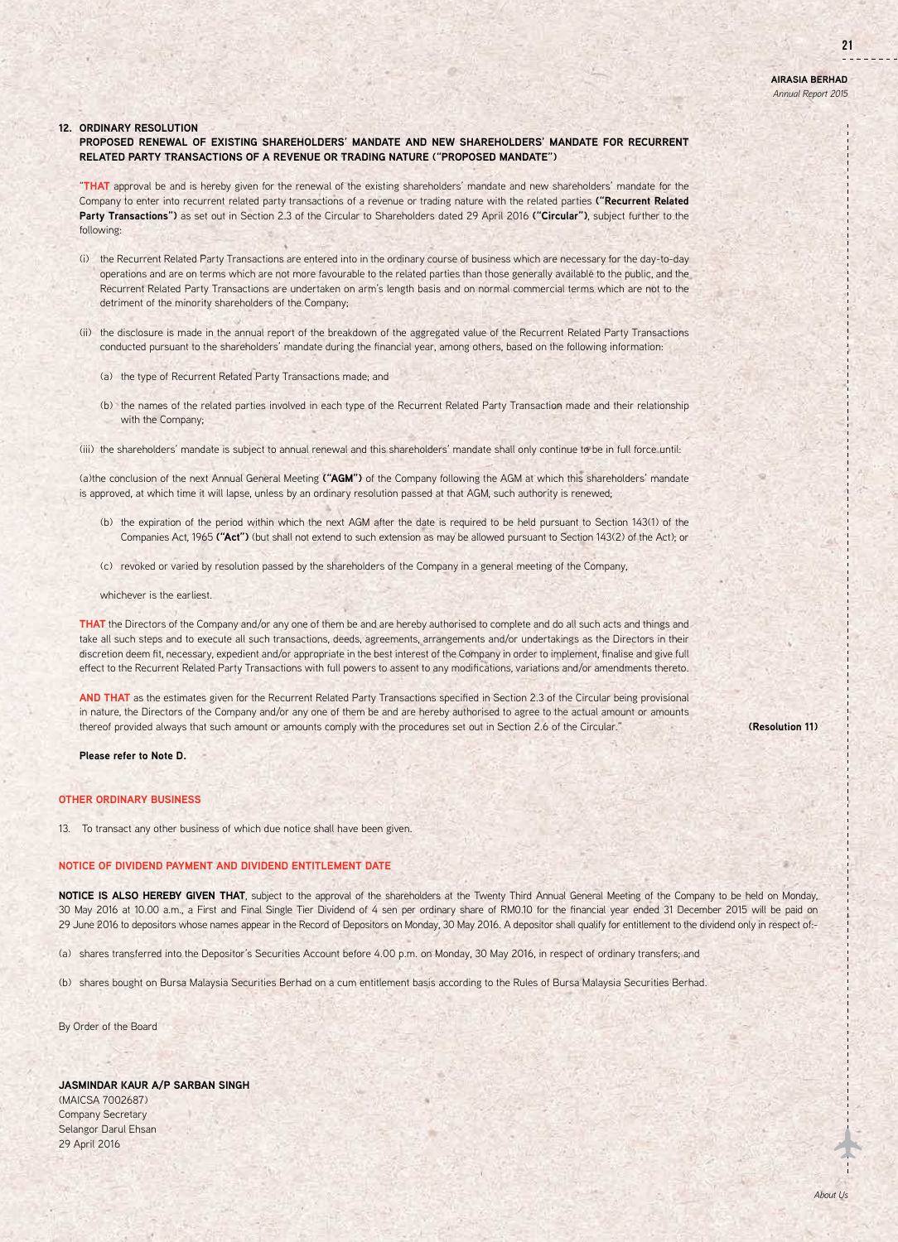21

### **12. ORDINARY RESOLUTION**

# **PROPOSED RENEWAL OF EXISTING SHAREHOLDERS' MANDATE AND NEW SHAREHOLDERS' MANDATE FOR RECURRENT RELATED PARTY TRANSACTIONS OF A REVENUE OR TRADING NATURE ("PROPOSED MANDATE")**

"**THAT** approval be and is hereby given for the renewal of the existing shareholders' mandate and new shareholders' mandate for the Company to enter into recurrent related party transactions of a revenue or trading nature with the related parties **("Recurrent Related Party Transactions")** as set out in Section 2.3 of the Circular to Shareholders dated 29 April 2016 **("Circular")**, subject further to the following:

- (i) the Recurrent Related Party Transactions are entered into in the ordinary course of business which are necessary for the day-to-day operations and are on terms which are not more favourable to the related parties than those generally available to the public, and the Recurrent Related Party Transactions are undertaken on arm's length basis and on normal commercial terms which are not to the detriment of the minority shareholders of the Company;
- (ii) the disclosure is made in the annual report of the breakdown of the aggregated value of the Recurrent Related Party Transactions conducted pursuant to the shareholders' mandate during the financial year, among others, based on the following information:
	- (a) the type of Recurrent Related Party Transactions made; and
	- (b) the names of the related parties involved in each type of the Recurrent Related Party Transaction made and their relationship with the Company;
- (iii) the shareholders' mandate is subject to annual renewal and this shareholders' mandate shall only continue to be in full force until:

(a)the conclusion of the next Annual General Meeting **("AGM")** of the Company following the AGM at which this shareholders' mandate is approved, at which time it will lapse, unless by an ordinary resolution passed at that AGM, such authority is renewed;

- (b) the expiration of the period within which the next AGM after the date is required to be held pursuant to Section 143(1) of the Companies Act, 1965 **("Act")** (but shall not extend to such extension as may be allowed pursuant to Section 143(2) of the Act); or
- (c) revoked or varied by resolution passed by the shareholders of the Company in a general meeting of the Company,
- whichever is the earliest.

**THAT** the Directors of the Company and/or any one of them be and are hereby authorised to complete and do all such acts and things and take all such steps and to execute all such transactions, deeds, agreements, arrangements and/or undertakings as the Directors in their discretion deem fit, necessary, expedient and/or appropriate in the best interest of the Company in order to implement, finalise and give full effect to the Recurrent Related Party Transactions with full powers to assent to any modifications, variations and/or amendments thereto.

**AND THAT** as the estimates given for the Recurrent Related Party Transactions specified in Section 2.3 of the Circular being provisional in nature, the Directors of the Company and/or any one of them be and are hereby authorised to agree to the actual amount or amounts thereof provided always that such amount or amounts comply with the procedures set out in Section 2.6 of the Circular."

**Please refer to Note D.**

### **OTHER ORDINARY BUSINESS**

13. To transact any other business of which due notice shall have been given.

# **NOTICE OF DIVIDEND PAYMENT AND DIVIDEND ENTITLEMENT DATE**

**NOTICE IS ALSO HEREBY GIVEN THAT**, subject to the approval of the shareholders at the Twenty Third Annual General Meeting of the Company to be held on Monday, 30 May 2016 at 10.00 a.m., a First and Final Single Tier Dividend of 4 sen per ordinary share of RM0.10 for the financial year ended 31 December 2015 will be paid on 29 June 2016 to depositors whose names appear in the Record of Depositors on Monday, 30 May 2016. A depositor shall qualify for entitlement to the dividend only in respect of:-

(a) shares transferred into the Depositor's Securities Account before 4.00 p.m. on Monday, 30 May 2016, in respect of ordinary transfers; and

(b) shares bought on Bursa Malaysia Securities Berhad on a cum entitlement basis according to the Rules of Bursa Malaysia Securities Berhad.

By Order of the Board

# **JASMINDAR KAUR A/P SARBAN SINGH**

(MAICSA 7002687) Company Secretary Selangor Darul Ehsan 29 April 2016

**(Resolution 11)**